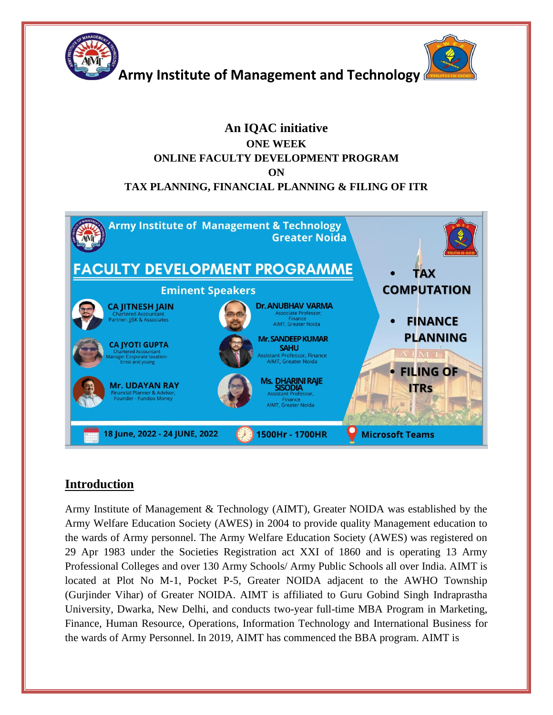

### **An IQAC initiative ONE WEEK ONLINE FACULTY DEVELOPMENT PROGRAM ON TAX PLANNING, FINANCIAL PLANNING & FILING OF ITR**



## **Introduction**

Army Institute of Management & Technology (AIMT), Greater NOIDA was established by the Army Welfare Education Society (AWES) in 2004 to provide quality Management education to the wards of Army personnel. The Army Welfare Education Society (AWES) was registered on 29 Apr 1983 under the Societies Registration act XXI of 1860 and is operating 13 Army Professional Colleges and over 130 Army Schools/ Army Public Schools all over India. AIMT is located at Plot No M-1, Pocket P-5, Greater NOIDA adjacent to the AWHO Township (Gurjinder Vihar) of Greater NOIDA. AIMT is affiliated to Guru Gobind Singh Indraprastha University, Dwarka, New Delhi, and conducts two-year full-time MBA Program in Marketing, Finance, Human Resource, Operations, Information Technology and International Business for the wards of Army Personnel. In 2019, AIMT has commenced the BBA program. AIMT is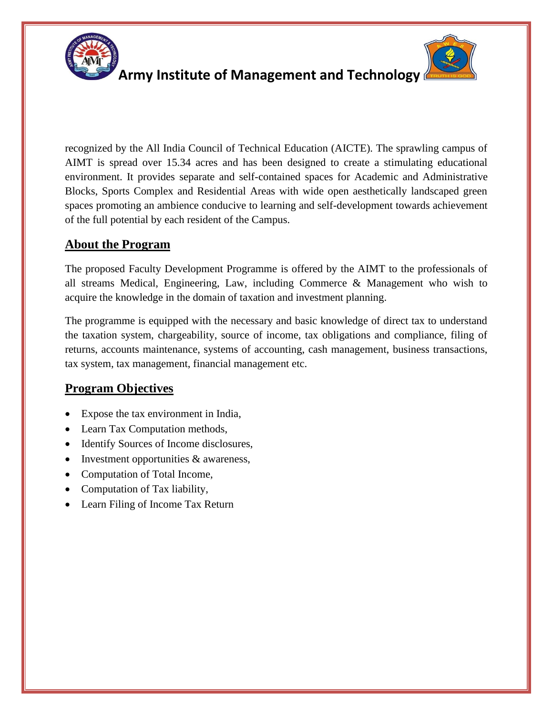

# **Army Institute of Management and Technology**



recognized by the All India Council of Technical Education (AICTE). The sprawling campus of AIMT is spread over 15.34 acres and has been designed to create a stimulating educational environment. It provides separate and self-contained spaces for Academic and Administrative Blocks, Sports Complex and Residential Areas with wide open aesthetically landscaped green spaces promoting an ambience conducive to learning and self-development towards achievement of the full potential by each resident of the Campus.

# **About the Program**

The proposed Faculty Development Programme is offered by the AIMT to the professionals of all streams Medical, Engineering, Law, including Commerce & Management who wish to acquire the knowledge in the domain of taxation and investment planning.

The programme is equipped with the necessary and basic knowledge of direct tax to understand the taxation system, chargeability, source of income, tax obligations and compliance, filing of returns, accounts maintenance, systems of accounting, cash management, business transactions, tax system, tax management, financial management etc.

## **Program Objectives**

- Expose the tax environment in India,
- Learn Tax Computation methods,
- Identify Sources of Income disclosures,
- Investment opportunities & awareness,
- Computation of Total Income,
- Computation of Tax liability,
- Learn Filing of Income Tax Return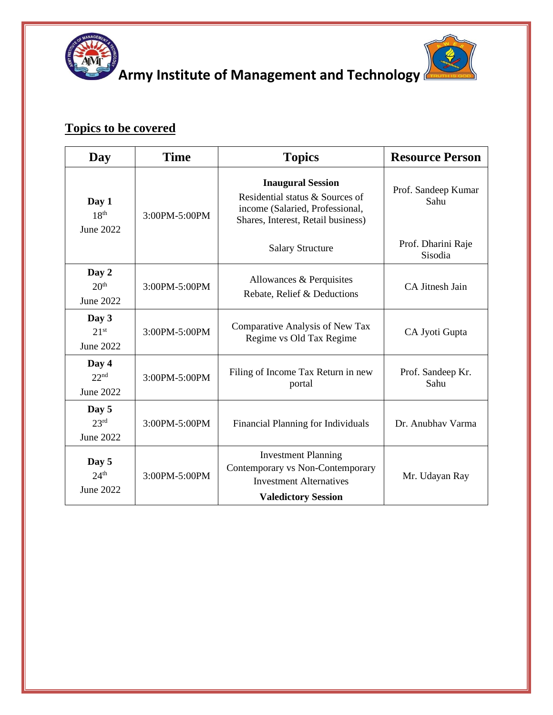



**Army Institute of Management and Technology** 

# **Topics to be covered**

| Day                                           | <b>Time</b>   | <b>Topics</b>                                                                                                                        | <b>Resource Person</b>        |
|-----------------------------------------------|---------------|--------------------------------------------------------------------------------------------------------------------------------------|-------------------------------|
| Day 1<br>18 <sup>th</sup><br>June 2022        | 3:00PM-5:00PM | <b>Inaugural Session</b><br>Residential status & Sources of<br>income (Salaried, Professional,<br>Shares, Interest, Retail business) | Prof. Sandeep Kumar<br>Sahu   |
|                                               |               | <b>Salary Structure</b>                                                                                                              | Prof. Dharini Raje<br>Sisodia |
| Day 2<br>20 <sup>th</sup><br>June 2022        | 3:00PM-5:00PM | Allowances & Perquisites<br>Rebate, Relief & Deductions                                                                              | CA Jitnesh Jain               |
| Day 3<br>21 <sup>st</sup><br>June 2022        | 3:00PM-5:00PM | Comparative Analysis of New Tax<br>Regime vs Old Tax Regime                                                                          | CA Jyoti Gupta                |
| Day 4<br>22 <sup>nd</sup><br>June 2022        | 3:00PM-5:00PM | Filing of Income Tax Return in new<br>portal                                                                                         | Prof. Sandeep Kr.<br>Sahu     |
| Day 5<br>23 <sup>rd</sup><br>June 2022        | 3:00PM-5:00PM | Financial Planning for Individuals                                                                                                   | Dr. Anubhav Varma             |
| Day 5<br>24 <sup>th</sup><br><b>June 2022</b> | 3:00PM-5:00PM | <b>Investment Planning</b><br>Contemporary vs Non-Contemporary<br><b>Investment Alternatives</b><br><b>Valedictory Session</b>       | Mr. Udayan Ray                |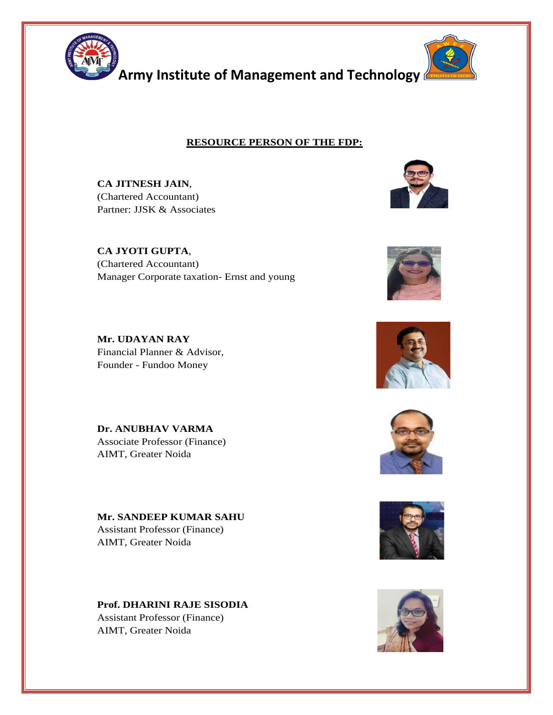

### **RESOURCE PERSON OF THE FDP:**

**CA JITNESH JAIN**, (Chartered Accountant) Partner: JJSK & Associates

**CA JYOTI GUPTA**, (Chartered Accountant) Manager Corporate taxation- Ernst and young





**Mr. UDAYAN RAY** Financial Planner & Advisor, Founder - Fundoo Money

**Dr. ANUBHAV VARMA** Associate Professor (Finance) AIMT, Greater Noida

**Mr. SANDEEP KUMAR SAHU** Assistant Professor (Finance) AIMT, Greater Noida

**Prof. DHARINI RAJE SISODIA** Assistant Professor (Finance) AIMT, Greater Noida